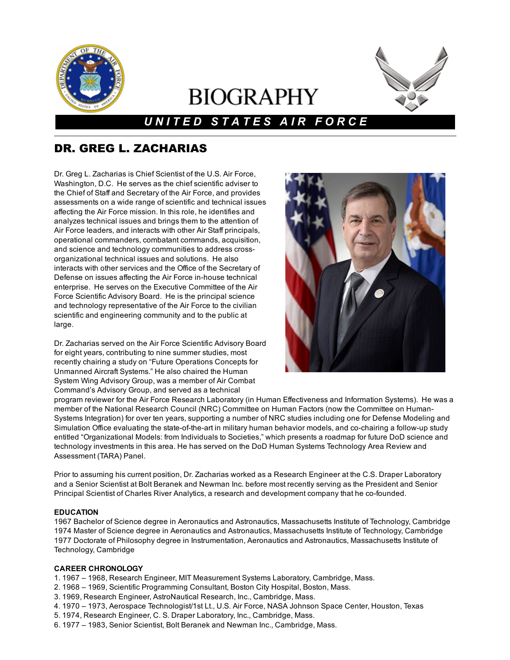

# **BIOGRAPHY**



# *U N I T E D S T A T E S A I R F O R C E*

# DR. GREG L. ZACHARIAS

Dr. Greg L. Zacharias is Chief Scientist of the U.S. Air Force, Washington, D.C. He serves as the chief scientific adviser to the Chief of Staff and Secretary of the Air Force, and provides assessments on a wide range of scientific and technical issues affecting the Air Force mission. In this role, he identifies and analyzes technical issues and brings them to the attention of Air Force leaders, and interacts with other Air Staff principals, operational commanders, combatant commands, acquisition, and science and technology communities to address crossorganizational technical issues and solutions. He also interacts with other services and the Office of the Secretary of Defense on issues affecting the Air Force in-house technical enterprise. He serves on the Executive Committee of the Air Force Scientific Advisory Board. He is the principal science and technology representative of the Air Force to the civilian scientific and engineering community and to the public at large.

Dr. Zacharias served on the Air Force Scientific Advisory Board for eight years, contributing to nine summer studies, most recently chairing a study on "Future Operations Concepts for Unmanned Aircraft Systems." He also chaired the Human System Wing Advisory Group, was a member of Air Combat Command's Advisory Group, and served as a technical



program reviewer for the Air Force Research Laboratory (in Human Effectiveness and Information Systems). He was a member of the National Research Council (NRC) Committee on Human Factors (now the Committee on Human-Systems Integration) for over ten years, supporting a number of NRC studies including one for Defense Modeling and Simulation Office evaluating the state-of-the-art in military human behavior models, and co-chairing a follow-up study entitled "Organizational Models: from Individuals to Societies," which presents a roadmap for future DoD science and technology investments in this area. He has served on the DoD Human Systems Technology Area Review and Assessment (TARA) Panel.

Prior to assuming his current position, Dr. Zacharias worked as a Research Engineer at the C.S. Draper Laboratory and a Senior Scientist at Bolt Beranek and Newman Inc. before most recently serving as the President and Senior Principal Scientist of Charles River Analytics, a research and development company that he co-founded.

## EDUCATION

 Bachelor of Science degree in Aeronautics and Astronautics, Massachusetts Institute of Technology, Cambridge Master of Science degree in Aeronautics and Astronautics, Massachusetts Institute of Technology, Cambridge Doctorate of Philosophy degree in Instrumentation, Aeronautics and Astronautics, Massachusetts Institute of Technology, Cambridge

## CAREER CHRONOLOGY

- 1. 1967 1968, Research Engineer, MIT Measurement Systems Laboratory, Cambridge, Mass.
- 2. 1968 1969, Scientific Programming Consultant, Boston City Hospital, Boston, Mass.
- 3. 1969, Research Engineer, AstroNautical Research, Inc., Cambridge, Mass.
- 4. 1970 1973, Aerospace Technologist/1st Lt., U.S. Air Force, NASA Johnson Space Center, Houston, Texas
- 5. 1974, Research Engineer, C. S. Draper Laboratory, Inc., Cambridge, Mass.
- 6. 1977 1983, Senior Scientist, Bolt Beranek and Newman Inc., Cambridge, Mass.